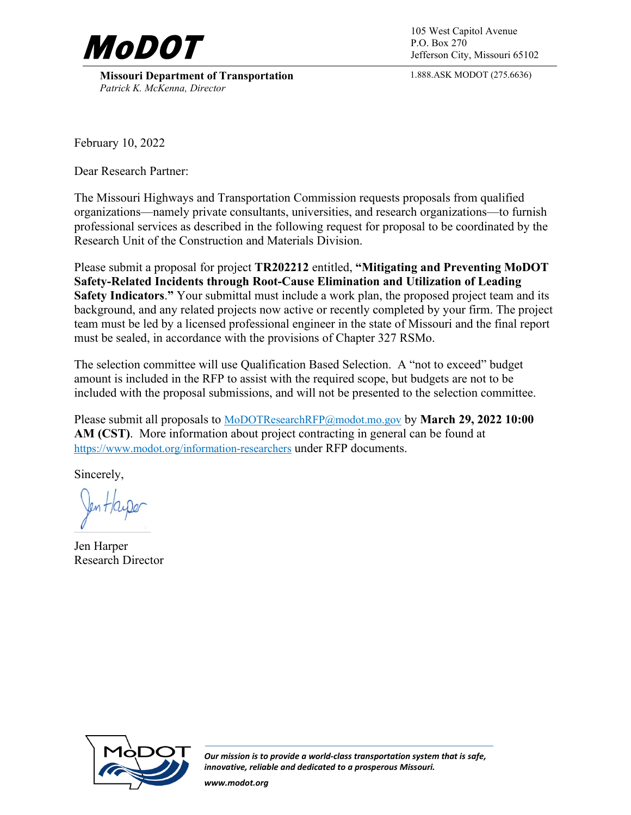

**Missouri Department of Transportation** *Patrick K. McKenna, Director*

P.O. Box 270 Jefferson City, Missouri 65102

1.888.ASK MODOT (275.6636)

February 10, 2022

Dear Research Partner:

The Missouri Highways and Transportation Commission requests proposals from qualified organizations—namely private consultants, universities, and research organizations—to furnish professional services as described in the following request for proposal to be coordinated by the Research Unit of the Construction and Materials Division.

Please submit a proposal for project **TR202212** entitled, **"Mitigating and Preventing MoDOT Safety-Related Incidents through Root-Cause Elimination and Utilization of Leading Safety Indicators**.**"** Your submittal must include a work plan, the proposed project team and its background, and any related projects now active or recently completed by your firm. The project team must be led by a licensed professional engineer in the state of Missouri and the final report must be sealed, in accordance with the provisions of Chapter 327 RSMo.

The selection committee will use Qualification Based Selection. A "not to exceed" budget amount is included in the RFP to assist with the required scope, but budgets are not to be included with the proposal submissions, and will not be presented to the selection committee.

Please submit all proposals to [MoDOTResearchRFP@modot.mo.gov](mailto:MoDOTResearchRFP@modot.mo.gov) by **March 29, 2022 10:00 AM (CST)**. More information about project contracting in general can be found at <https://www.modot.org/information-researchers>under RFP documents.

Sincerely,

Jen Harper Research Director



*Our mission is to provide a world-class transportation system that is safe, innovative, reliable and dedicated to a prosperous Missouri.*

*www.modot.org*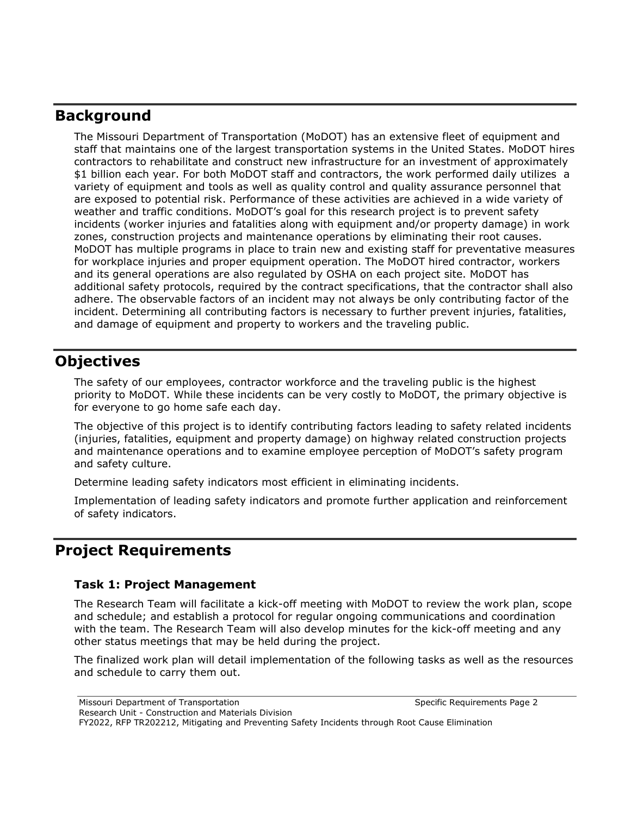## **Background**

The Missouri Department of Transportation (MoDOT) has an extensive fleet of equipment and staff that maintains one of the largest transportation systems in the United States. MoDOT hires contractors to rehabilitate and construct new infrastructure for an investment of approximately \$1 billion each year. For both MoDOT staff and contractors, the work performed daily utilizes a variety of equipment and tools as well as quality control and quality assurance personnel that are exposed to potential risk. Performance of these activities are achieved in a wide variety of weather and traffic conditions. MoDOT's goal for this research project is to prevent safety incidents (worker injuries and fatalities along with equipment and/or property damage) in work zones, construction projects and maintenance operations by eliminating their root causes. MoDOT has multiple programs in place to train new and existing staff for preventative measures for workplace injuries and proper equipment operation. The MoDOT hired contractor, workers and its general operations are also regulated by OSHA on each project site. MoDOT has additional safety protocols, required by the contract specifications, that the contractor shall also adhere. The observable factors of an incident may not always be only contributing factor of the incident. Determining all contributing factors is necessary to further prevent injuries, fatalities, and damage of equipment and property to workers and the traveling public.

# **Objectives**

The safety of our employees, contractor workforce and the traveling public is the highest priority to MoDOT. While these incidents can be very costly to MoDOT, the primary objective is for everyone to go home safe each day.

The objective of this project is to identify contributing factors leading to safety related incidents (injuries, fatalities, equipment and property damage) on highway related construction projects and maintenance operations and to examine employee perception of MoDOT's safety program and safety culture.

Determine leading safety indicators most efficient in eliminating incidents.

Implementation of leading safety indicators and promote further application and reinforcement of safety indicators.

## **Project Requirements**

## **Task 1: Project Management**

The Research Team will facilitate a kick-off meeting with MoDOT to review the work plan, scope and schedule; and establish a protocol for regular ongoing communications and coordination with the team. The Research Team will also develop minutes for the kick-off meeting and any other status meetings that may be held during the project.

The finalized work plan will detail implementation of the following tasks as well as the resources and schedule to carry them out.

Missouri Department of Transportation Specific Requirements Page 2

Research Unit - Construction and Materials Division

FY2022, RFP TR202212, Mitigating and Preventing Safety Incidents through Root Cause Elimination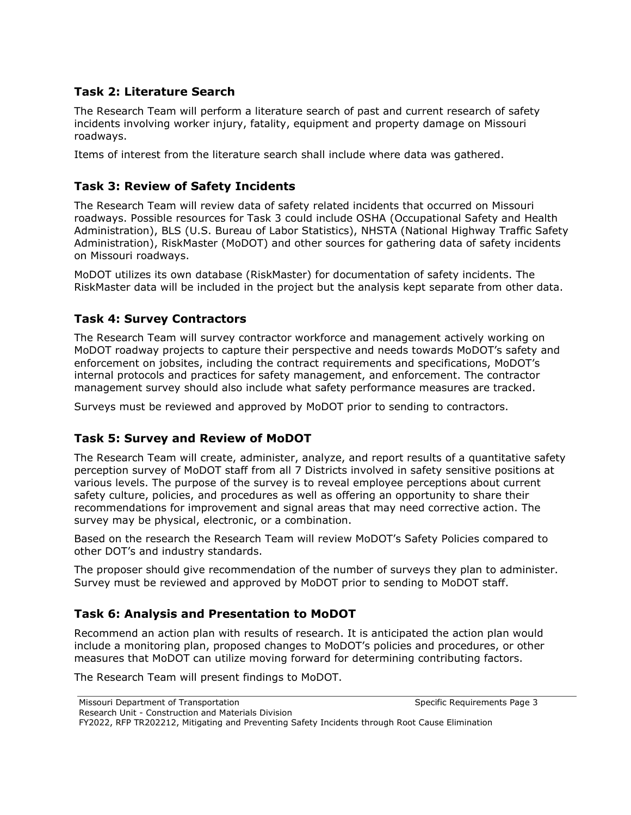## **Task 2: Literature Search**

The Research Team will perform a literature search of past and current research of safety incidents involving worker injury, fatality, equipment and property damage on Missouri roadways.

Items of interest from the literature search shall include where data was gathered.

## **Task 3: Review of Safety Incidents**

The Research Team will review data of safety related incidents that occurred on Missouri roadways. Possible resources for Task 3 could include OSHA (Occupational Safety and Health Administration), BLS (U.S. Bureau of Labor Statistics), NHSTA (National Highway Traffic Safety Administration), RiskMaster (MoDOT) and other sources for gathering data of safety incidents on Missouri roadways.

MoDOT utilizes its own database (RiskMaster) for documentation of safety incidents. The RiskMaster data will be included in the project but the analysis kept separate from other data.

## **Task 4: Survey Contractors**

The Research Team will survey contractor workforce and management actively working on MoDOT roadway projects to capture their perspective and needs towards MoDOT's safety and enforcement on jobsites, including the contract requirements and specifications, MoDOT's internal protocols and practices for safety management, and enforcement. The contractor management survey should also include what safety performance measures are tracked.

Surveys must be reviewed and approved by MoDOT prior to sending to contractors.

## **Task 5: Survey and Review of MoDOT**

The Research Team will create, administer, analyze, and report results of a quantitative safety perception survey of MoDOT staff from all 7 Districts involved in safety sensitive positions at various levels. The purpose of the survey is to reveal employee perceptions about current safety culture, policies, and procedures as well as offering an opportunity to share their recommendations for improvement and signal areas that may need corrective action. The survey may be physical, electronic, or a combination.

Based on the research the Research Team will review MoDOT's Safety Policies compared to other DOT's and industry standards.

The proposer should give recommendation of the number of surveys they plan to administer. Survey must be reviewed and approved by MoDOT prior to sending to MoDOT staff.

## **Task 6: Analysis and Presentation to MoDOT**

Recommend an action plan with results of research. It is anticipated the action plan would include a monitoring plan, proposed changes to MoDOT's policies and procedures, or other measures that MoDOT can utilize moving forward for determining contributing factors.

The Research Team will present findings to MoDOT.

Research Unit - Construction and Materials Division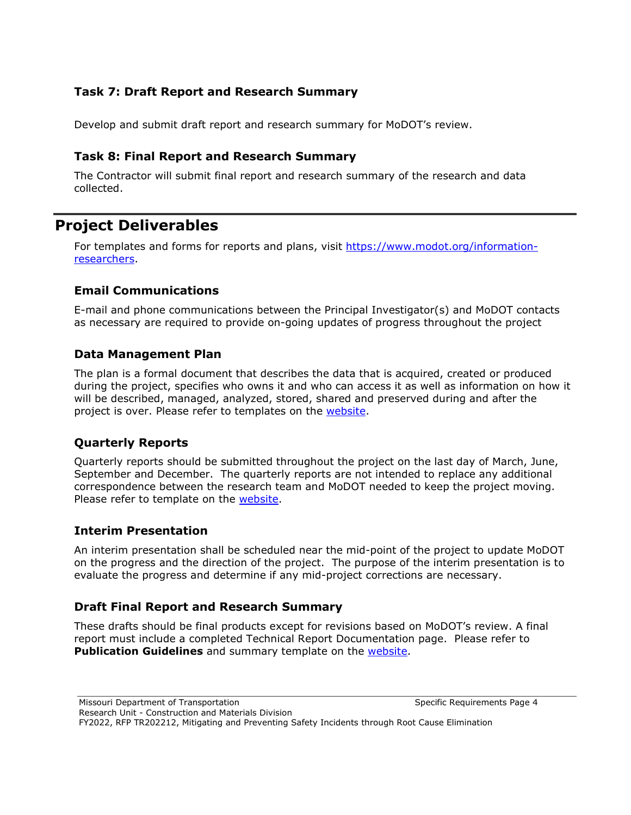## **Task 7: Draft Report and Research Summary**

Develop and submit draft report and research summary for MoDOT's review.

#### **Task 8: Final Report and Research Summary**

The Contractor will submit final report and research summary of the research and data collected.

## **Project Deliverables**

For templates and forms for reports and plans, visit [https://www.modot.org/information](https://www.modot.org/information-researchers)[researchers.](https://www.modot.org/information-researchers)

#### **Email Communications**

E-mail and phone communications between the Principal Investigator(s) and MoDOT contacts as necessary are required to provide on-going updates of progress throughout the project

#### **Data Management Plan**

The plan is a formal document that describes the data that is acquired, created or produced during the project, specifies who owns it and who can access it as well as information on how it will be described, managed, analyzed, stored, shared and preserved during and after the project is over. Please refer to templates on the [website.](https://www.modot.org/information-researchers)

## **Quarterly Reports**

Quarterly reports should be submitted throughout the project on the last day of March, June, September and December. The quarterly reports are not intended to replace any additional correspondence between the research team and MoDOT needed to keep the project moving. Please refer to template on the [website.](https://www.modot.org/information-researchers)

#### **Interim Presentation**

An interim presentation shall be scheduled near the mid-point of the project to update MoDOT on the progress and the direction of the project. The purpose of the interim presentation is to evaluate the progress and determine if any mid-project corrections are necessary.

## **Draft Final Report and Research Summary**

These drafts should be final products except for revisions based on MoDOT's review. A final report must include a completed Technical Report Documentation page. Please refer to **Publication Guidelines** and summary template on the [website.](https://www.modot.org/information-researchers)

Missouri Department of Transportation Specific Requirements Page 4

Research Unit - Construction and Materials Division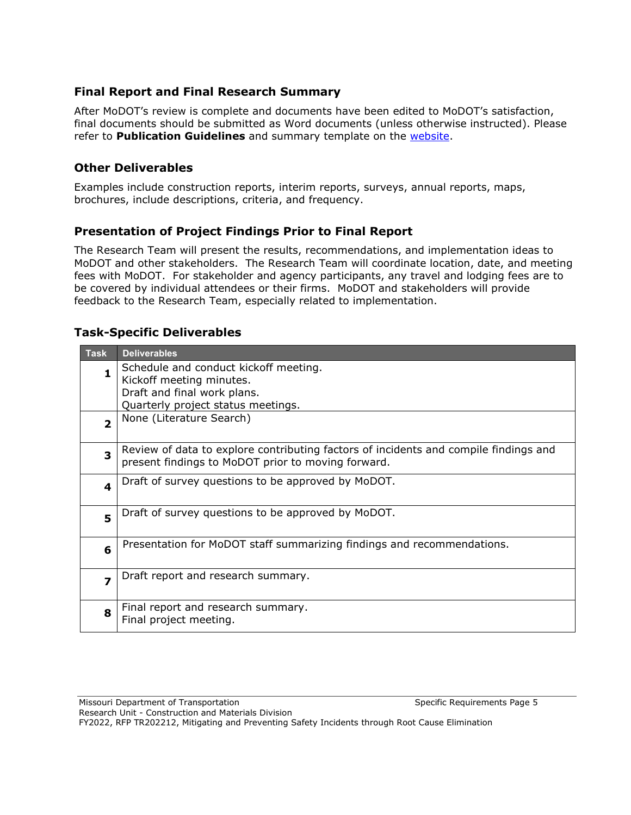## **Final Report and Final Research Summary**

After MoDOT's review is complete and documents have been edited to MoDOT's satisfaction, final documents should be submitted as Word documents (unless otherwise instructed). Please refer to **Publication Guidelines** and summary template on the [website.](https://www.modot.org/information-researchers)

## **Other Deliverables**

Examples include construction reports, interim reports, surveys, annual reports, maps, brochures, include descriptions, criteria, and frequency.

## **Presentation of Project Findings Prior to Final Report**

The Research Team will present the results, recommendations, and implementation ideas to MoDOT and other stakeholders. The Research Team will coordinate location, date, and meeting fees with MoDOT. For stakeholder and agency participants, any travel and lodging fees are to be covered by individual attendees or their firms. MoDOT and stakeholders will provide feedback to the Research Team, especially related to implementation.

#### **Task-Specific Deliverables**

| <b>Task</b>             | <b>Deliverables</b>                                                                                                                        |  |  |
|-------------------------|--------------------------------------------------------------------------------------------------------------------------------------------|--|--|
| 1                       | Schedule and conduct kickoff meeting.                                                                                                      |  |  |
|                         | Kickoff meeting minutes.                                                                                                                   |  |  |
|                         | Draft and final work plans.                                                                                                                |  |  |
|                         | Quarterly project status meetings.                                                                                                         |  |  |
| $\overline{\mathbf{2}}$ | None (Literature Search)                                                                                                                   |  |  |
| $\overline{\mathbf{3}}$ | Review of data to explore contributing factors of incidents and compile findings and<br>present findings to MoDOT prior to moving forward. |  |  |
| $\overline{\mathbf{4}}$ | Draft of survey questions to be approved by MoDOT.                                                                                         |  |  |
| 5                       | Draft of survey questions to be approved by MoDOT.                                                                                         |  |  |
| 6                       | Presentation for MoDOT staff summarizing findings and recommendations.                                                                     |  |  |
| $\overline{z}$          | Draft report and research summary.                                                                                                         |  |  |
| 8                       | Final report and research summary.<br>Final project meeting.                                                                               |  |  |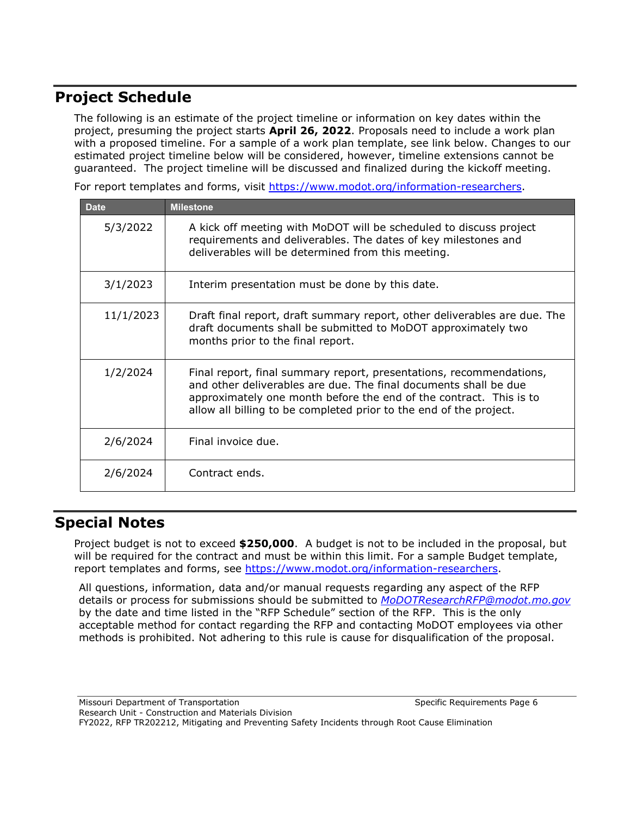# **Project Schedule**

The following is an estimate of the project timeline or information on key dates within the project, presuming the project starts **April 26, 2022**. Proposals need to include a work plan with a proposed timeline. For a sample of a work plan template, see link below. Changes to our estimated project timeline below will be considered, however, timeline extensions cannot be guaranteed. The project timeline will be discussed and finalized during the kickoff meeting.

For report templates and forms, visit [https://www.modot.org/information-researchers.](https://www.modot.org/information-researchers)

| <b>Date</b> | <b>Milestone</b>                                                                                                                                                                                                                                                                    |
|-------------|-------------------------------------------------------------------------------------------------------------------------------------------------------------------------------------------------------------------------------------------------------------------------------------|
| 5/3/2022    | A kick off meeting with MoDOT will be scheduled to discuss project<br>requirements and deliverables. The dates of key milestones and<br>deliverables will be determined from this meeting.                                                                                          |
| 3/1/2023    | Interim presentation must be done by this date.                                                                                                                                                                                                                                     |
| 11/1/2023   | Draft final report, draft summary report, other deliverables are due. The<br>draft documents shall be submitted to MoDOT approximately two<br>months prior to the final report.                                                                                                     |
| 1/2/2024    | Final report, final summary report, presentations, recommendations,<br>and other deliverables are due. The final documents shall be due<br>approximately one month before the end of the contract. This is to<br>allow all billing to be completed prior to the end of the project. |
| 2/6/2024    | Final invoice due.                                                                                                                                                                                                                                                                  |
| 2/6/2024    | Contract ends.                                                                                                                                                                                                                                                                      |

# **Special Notes**

Project budget is not to exceed **\$250,000**. A budget is not to be included in the proposal, but will be required for the contract and must be within this limit. For a sample Budget template, report templates and forms, see [https://www.modot.org/information-researchers.](https://www.modot.org/information-researchers)

All questions, information, data and/or manual requests regarding any aspect of the RFP details or process for submissions should be submitted to *[MoDOTResearchRFP@modot.mo.gov](mailto:MoDOTResearchRFP@modot.mo.gov)* by the date and time listed in the "RFP Schedule" section of the RFP. This is the only acceptable method for contact regarding the RFP and contacting MoDOT employees via other methods is prohibited. Not adhering to this rule is cause for disqualification of the proposal.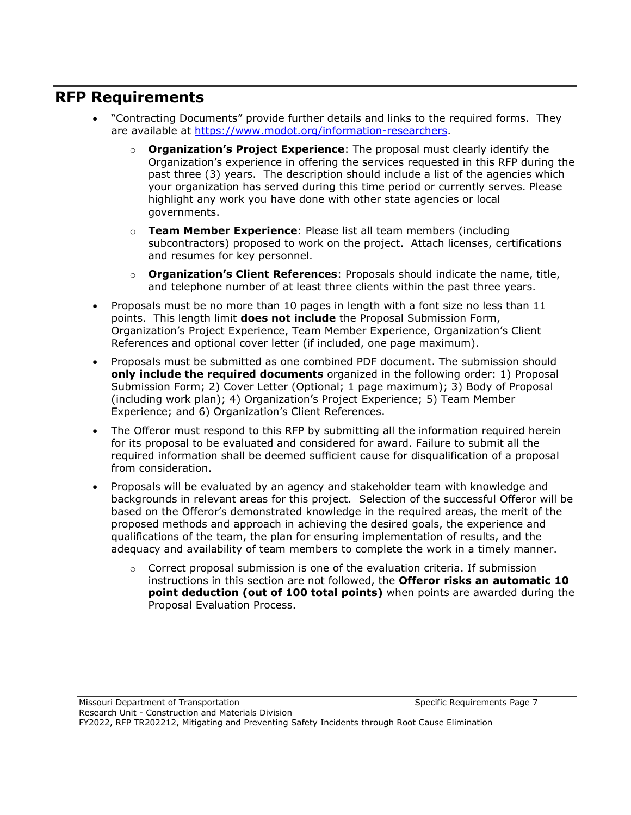## **RFP Requirements**

- "Contracting Documents" provide further details and links to the required forms. They are available at [https://www.modot.org/information-researchers.](https://www.modot.org/information-researchers)
	- o **Organization's Project Experience**: The proposal must clearly identify the Organization's experience in offering the services requested in this RFP during the past three (3) years. The description should include a list of the agencies which your organization has served during this time period or currently serves. Please highlight any work you have done with other state agencies or local governments.
	- o **Team Member Experience**: Please list all team members (including subcontractors) proposed to work on the project. Attach licenses, certifications and resumes for key personnel.
	- o **Organization's Client References**: Proposals should indicate the name, title, and telephone number of at least three clients within the past three years.
- Proposals must be no more than 10 pages in length with a font size no less than 11 points. This length limit **does not include** the Proposal Submission Form, Organization's Project Experience, Team Member Experience, Organization's Client References and optional cover letter (if included, one page maximum).
- Proposals must be submitted as one combined PDF document. The submission should **only include the required documents** organized in the following order: 1) Proposal Submission Form; 2) Cover Letter (Optional; 1 page maximum); 3) Body of Proposal (including work plan); 4) Organization's Project Experience; 5) Team Member Experience; and 6) Organization's Client References.
- The Offeror must respond to this RFP by submitting all the information required herein for its proposal to be evaluated and considered for award. Failure to submit all the required information shall be deemed sufficient cause for disqualification of a proposal from consideration.
- Proposals will be evaluated by an agency and stakeholder team with knowledge and backgrounds in relevant areas for this project. Selection of the successful Offeror will be based on the Offeror's demonstrated knowledge in the required areas, the merit of the proposed methods and approach in achieving the desired goals, the experience and qualifications of the team, the plan for ensuring implementation of results, and the adequacy and availability of team members to complete the work in a timely manner.
	- $\circ$  Correct proposal submission is one of the evaluation criteria. If submission instructions in this section are not followed, the **Offeror risks an automatic 10 point deduction (out of 100 total points)** when points are awarded during the Proposal Evaluation Process.

Missouri Department of Transportation Specific Requirements Page 7 Research Unit - Construction and Materials Division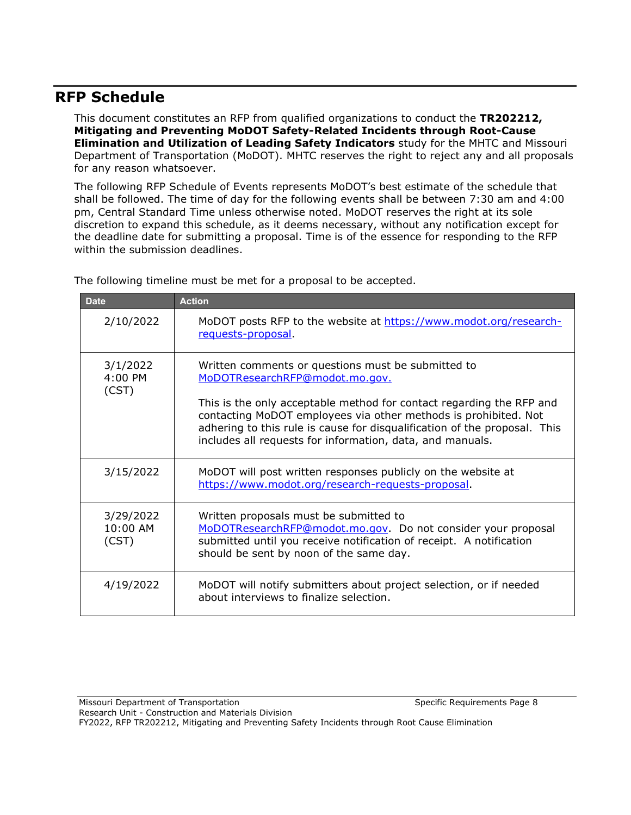## **RFP Schedule**

This document constitutes an RFP from qualified organizations to conduct the **TR202212, Mitigating and Preventing MoDOT Safety-Related Incidents through Root-Cause Elimination and Utilization of Leading Safety Indicators** study for the MHTC and Missouri Department of Transportation (MoDOT). MHTC reserves the right to reject any and all proposals for any reason whatsoever.

The following RFP Schedule of Events represents MoDOT's best estimate of the schedule that shall be followed. The time of day for the following events shall be between 7:30 am and 4:00 pm, Central Standard Time unless otherwise noted. MoDOT reserves the right at its sole discretion to expand this schedule, as it deems necessary, without any notification except for the deadline date for submitting a proposal. Time is of the essence for responding to the RFP within the submission deadlines.

| <b>Date</b>                      | <b>Action</b>                                                                                                                                                                                                                                                                     |
|----------------------------------|-----------------------------------------------------------------------------------------------------------------------------------------------------------------------------------------------------------------------------------------------------------------------------------|
| 2/10/2022                        | MoDOT posts RFP to the website at https://www.modot.org/research-<br>requests-proposal                                                                                                                                                                                            |
| 3/1/2022<br>4:00 PM<br>(CST)     | Written comments or questions must be submitted to<br>MoDOTResearchRFP@modot.mo.gov.                                                                                                                                                                                              |
|                                  | This is the only acceptable method for contact regarding the RFP and<br>contacting MoDOT employees via other methods is prohibited. Not<br>adhering to this rule is cause for disqualification of the proposal. This<br>includes all requests for information, data, and manuals. |
| 3/15/2022                        | MoDOT will post written responses publicly on the website at<br>https://www.modot.org/research-requests-proposal.                                                                                                                                                                 |
| 3/29/2022<br>$10:00$ AM<br>(CST) | Written proposals must be submitted to<br>MoDOTResearchRFP@modot.mo.gov  Do not consider your proposal<br>submitted until you receive notification of receipt. A notification<br>should be sent by noon of the same day.                                                          |
| 4/19/2022                        | MoDOT will notify submitters about project selection, or if needed<br>about interviews to finalize selection.                                                                                                                                                                     |

The following timeline must be met for a proposal to be accepted.